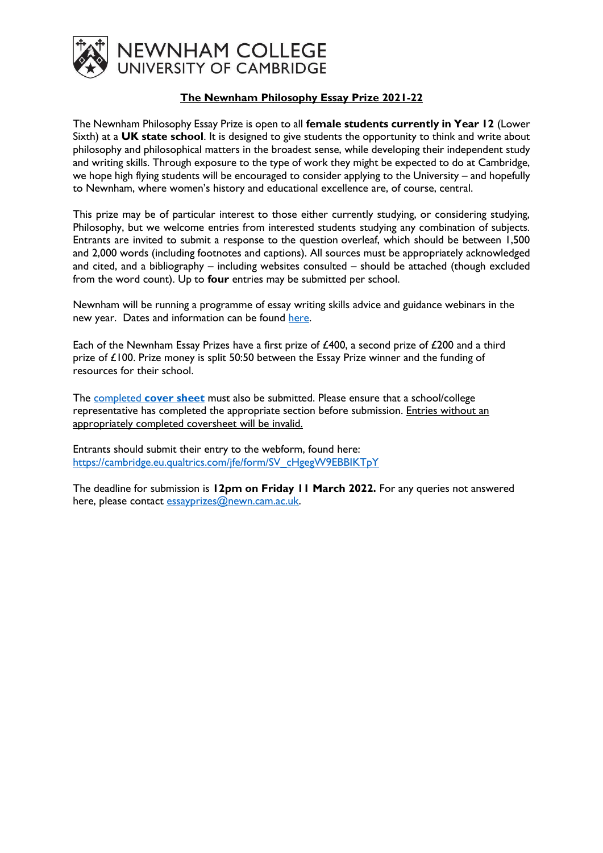

## **The Newnham Philosophy Essay Prize 2021-22**

The Newnham Philosophy Essay Prize is open to all **female students currently in Year 12** (Lower Sixth) at a **UK state school**. It is designed to give students the opportunity to think and write about philosophy and philosophical matters in the broadest sense, while developing their independent study and writing skills. Through exposure to the type of work they might be expected to do at Cambridge, we hope high flying students will be encouraged to consider applying to the University – and hopefully to Newnham, where women's history and educational excellence are, of course, central.

This prize may be of particular interest to those either currently studying, or considering studying, Philosophy, but we welcome entries from interested students studying any combination of subjects. Entrants are invited to submit a response to the question overleaf, which should be between 1,500 and 2,000 words (including footnotes and captions). All sources must be appropriately acknowledged and cited, and a bibliography – including websites consulted – should be attached (though excluded from the word count). Up to **four** entries may be submitted per school.

Newnham will be running a programme of essay writing skills advice and guidance webinars in the new year. Dates and information can be found [here.](https://newn.cam.ac.uk/admissions/undergraduates/newnham-essay-prizes/)

Each of the Newnham Essay Prizes have a first prize of £400, a second prize of £200 and a third prize of £100. Prize money is split 50:50 between the Essay Prize winner and the funding of resources for their school.

The completed **[cover sheet](https://newn.cam.ac.uk/wp-content/uploads/2022/01/Essay-Prize-Cover-Sheet-2021-22.docx)** must also be submitted. Please ensure that a school/college representative has completed the appropriate section before submission. Entries without an appropriately completed coversheet will be invalid.

Entrants should submit their entry to the webform, found here: [https://cambridge.eu.qualtrics.com/jfe/form/SV\\_cHgegW9EBBIKTpY](https://cambridge.eu.qualtrics.com/jfe/form/SV_cHgegW9EBBIKTpY)

The deadline for submission is **12pm on Friday 11 March 2022.** For any queries not answered here, please contact [essayprizes@newn.cam.ac.uk.](mailto:essayprizes@newn.cam.ac.uk)